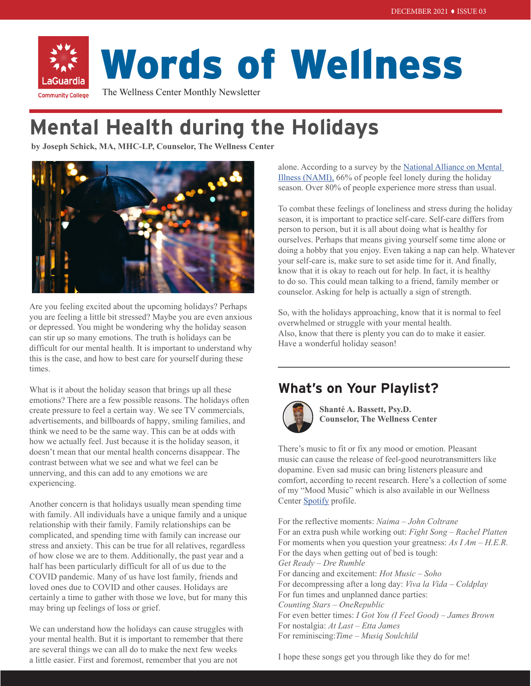# Words of Wellness

The Wellness Center Monthly Newsletter **Community College** 

## **Mental Health during the Holidays**

**by Joseph Schick, MA, MHC-LP, Counselor, The Wellness Center**



Are you feeling excited about the upcoming holidays? Perhaps you are feeling a little bit stressed? Maybe you are even anxious or depressed. You might be wondering why the holiday season can stir up so many emotions. The truth is holidays can be difficult for our mental health. It is important to understand why this is the case, and how to best care for yourself during these times.

What is it about the holiday season that brings up all these emotions? There are a few possible reasons. The holidays often create pressure to feel a certain way. We see TV commercials, advertisements, and billboards of happy, smiling families, and think we need to be the same way. This can be at odds with how we actually feel. Just because it is the holiday season, it doesn't mean that our mental health concerns disappear. The contrast between what we see and what we feel can be unnerving, and this can add to any emotions we are experiencing.

Another concern is that holidays usually mean spending time with family. All individuals have a unique family and a unique relationship with their family. Family relationships can be complicated, and spending time with family can increase our stress and anxiety. This can be true for all relatives, regardless of how close we are to them. Additionally, the past year and a half has been particularly difficult for all of us due to the COVID pandemic. Many of us have lost family, friends and loved ones due to COVID and other causes. Holidays are certainly a time to gather with those we love, but for many this may bring up feelings of loss or grief.

We can understand how the holidays can cause struggles with your mental health. But it is important to remember that there are several things we can all do to make the next few weeks a little easier. First and foremost, remember that you are not

alone. According to a survey by the National Alliance on Mental [Illness \(NAMI\),](https://www.nami.org/Press-Media/Press-Releases/2014/Mental-health-and-the-holiday-blues) 66% of people feel lonely during the holiday season. Over [80%](https://www.apa.org/news/press/releases/2006/12/holiday-stress.pdf) of people experience more stress than usual.

To combat these feelings of loneliness and stress during the holiday season, it is important to practice self-care. Self-care differs from person to person, but it is all about doing what is healthy for ourselves. Perhaps that means giving yourself some time alone or doing a hobby that you enjoy. Even taking a nap can help. Whatever your self-care is, make sure to set aside time for it. And finally, know that it is okay to reach out for help. In fact, it is healthy to do so. This could mean talking to a friend, family member or counselor. Asking for help is actually a sign of strength.

So, with the holidays approaching, know that it is normal to feel overwhelmed or struggle with your mental health. Also, know that there is plenty you can do to make it easier. Have a wonderful holiday season!

## **What's on Your Playlist?**



**Shanté A. Bassett, Psy.D. Counselor, The Wellness Center**

There's music to fit or fix any mood or emotion. Pleasant music can cause the release of feel-good neurotransmitters like dopamine. Even sad music can bring listeners pleasure and comfort, according to recent research. Here's a collection of some of my "Mood Music" which is also available in our Wellness Center [Spotify](https://tinyurl.com/wellnesscenterspotify) profile.

For the reflective moments: *Naima – John Coltrane* For an extra push while working out: *Fight Song – Rachel Platten* For moments when you question your greatness: *As I Am – H.E.R.* For the days when getting out of bed is tough: *Get Ready – Dre Rumble* For dancing and excitement: *Hot Music – Soho* For decompressing after a long day: *Viva la Vida – Coldplay* For fun times and unplanned dance parties: *Counting Stars – OneRepublic* For even better times: *I Got You (I Feel Good) – James Brown* For nostalgia: *At Last – Etta James* For reminiscing:*Time – Musiq Soulchild*

I hope these songs get you through like they do for me!